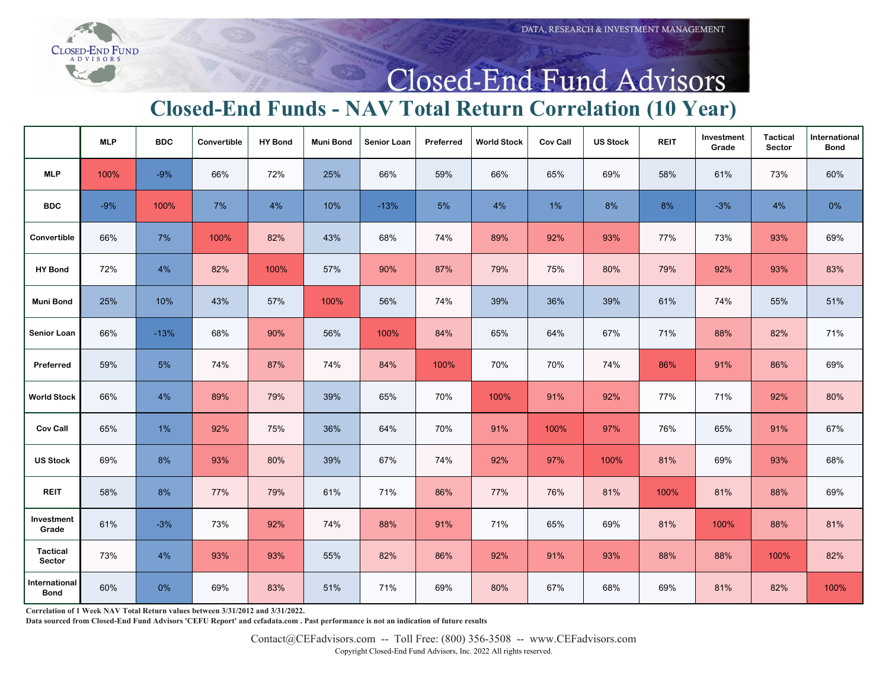## Closed-End Fund Advisors

## **Closed-End Funds - NAV Total Return Correlation (10 Year)**

 $3)$ 

|                              | <b>MLP</b> | <b>BDC</b> | Convertible | <b>HY Bond</b> | <b>Muni Bond</b> | <b>Senior Loan</b> | Preferred | <b>World Stock</b> | <b>Cov Call</b> | <b>US Stock</b> | <b>REIT</b> | Investment<br>Grade | <b>Tactical</b><br>Sector | International<br><b>Bond</b> |
|------------------------------|------------|------------|-------------|----------------|------------------|--------------------|-----------|--------------------|-----------------|-----------------|-------------|---------------------|---------------------------|------------------------------|
| <b>MLP</b>                   | 100%       | $-9%$      | 66%         | 72%            | 25%              | 66%                | 59%       | 66%                | 65%             | 69%             | 58%         | 61%                 | 73%                       | 60%                          |
| <b>BDC</b>                   | $-9%$      | 100%       | $7\%$       | 4%             | 10%              | $-13%$             | 5%        | 4%                 | 1%              | 8%              | $8\%$       | $-3%$               | 4%                        | 0%                           |
| Convertible                  | 66%        | $7\%$      | 100%        | 82%            | 43%              | 68%                | 74%       | 89%                | 92%             | 93%             | 77%         | 73%                 | 93%                       | 69%                          |
| <b>HY Bond</b>               | 72%        | 4%         | 82%         | 100%           | 57%              | 90%                | 87%       | 79%                | 75%             | 80%             | 79%         | 92%                 | 93%                       | 83%                          |
| <b>Muni Bond</b>             | 25%        | 10%        | 43%         | 57%            | 100%             | 56%                | 74%       | 39%                | 36%             | 39%             | 61%         | 74%                 | 55%                       | 51%                          |
| Senior Loan                  | 66%        | $-13%$     | 68%         | 90%            | 56%              | 100%               | 84%       | 65%                | 64%             | 67%             | 71%         | 88%                 | 82%                       | 71%                          |
| Preferred                    | 59%        | $5\%$      | 74%         | 87%            | 74%              | 84%                | 100%      | 70%                | 70%             | 74%             | 86%         | 91%                 | 86%                       | 69%                          |
| <b>World Stock</b>           | 66%        | 4%         | 89%         | 79%            | 39%              | 65%                | 70%       | 100%               | 91%             | 92%             | 77%         | 71%                 | 92%                       | 80%                          |
| <b>Cov Call</b>              | 65%        | 1%         | 92%         | 75%            | 36%              | 64%                | 70%       | 91%                | 100%            | 97%             | 76%         | 65%                 | 91%                       | 67%                          |
| <b>US Stock</b>              | 69%        | 8%         | 93%         | 80%            | 39%              | 67%                | 74%       | 92%                | 97%             | 100%            | 81%         | 69%                 | 93%                       | 68%                          |
| <b>REIT</b>                  | 58%        | $8\%$      | 77%         | 79%            | 61%              | 71%                | 86%       | 77%                | 76%             | 81%             | 100%        | 81%                 | 88%                       | 69%                          |
| Investment<br>Grade          | 61%        | $-3%$      | 73%         | 92%            | 74%              | 88%                | 91%       | 71%                | 65%             | 69%             | 81%         | 100%                | 88%                       | 81%                          |
| Tactical<br>Sector           | 73%        | 4%         | 93%         | 93%            | 55%              | 82%                | 86%       | 92%                | 91%             | 93%             | 88%         | 88%                 | 100%                      | 82%                          |
| International<br><b>Bond</b> | 60%        | 0%         | 69%         | 83%            | 51%              | 71%                | 69%       | 80%                | 67%             | 68%             | 69%         | 81%                 | 82%                       | 100%                         |

**Correlation of 1 Week NAV Total Return values between 3/31/2012 and 3/31/2022.**

**Data sourced from Closed-End Fund Advisors 'CEFU Report' and cefadata.com . Past performance is not an indication of future results**